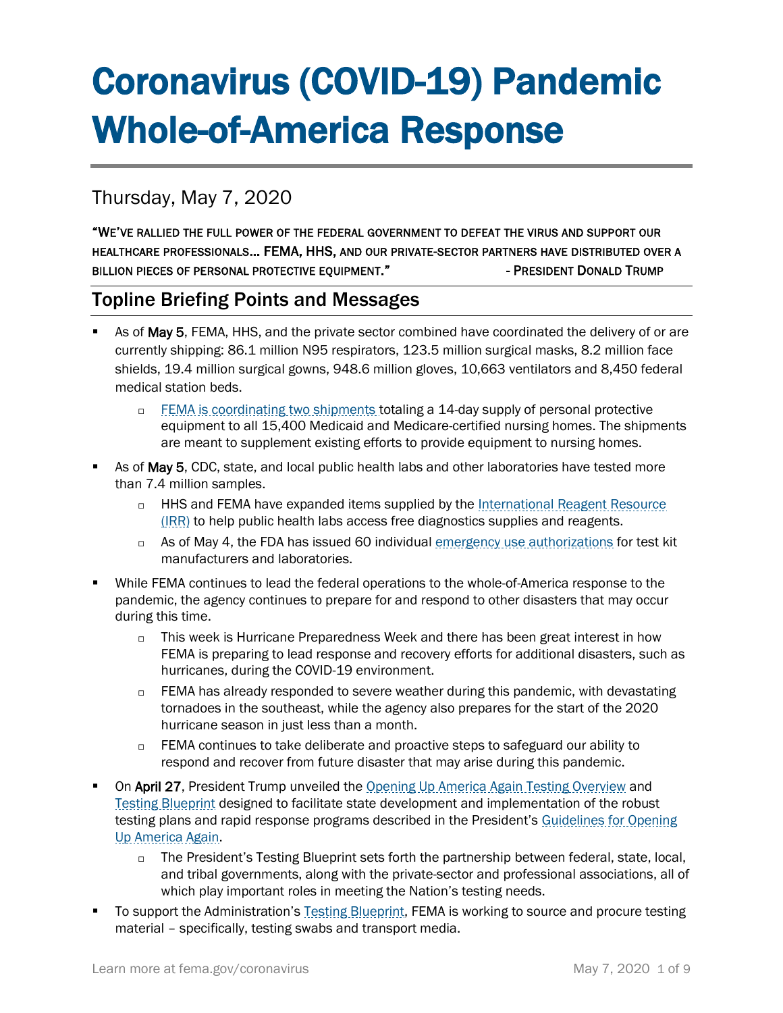# Coronavirus (COVID-19) Pandemic Whole-of-America Response

# Thursday, May 7, 2020

"WE'VE RALLIED THE FULL POWER OF THE FEDERAL GOVERNMENT TO DEFEAT THE VIRUS AND SUPPORT OUR HEALTHCARE PROFESSIONALS… FEMA, HHS, AND OUR PRIVATE-SECTOR PARTNERS HAVE DISTRIBUTED OVER A BILLION PIECES OF PERSONAL PROTECTIVE EOUIPMENT." The SECOND PRESIDENT DONALD TRUMP

## Topline Briefing Points and Messages

- As of May 5, FEMA, HHS, and the private sector combined have coordinated the delivery of or are currently shipping: 86.1 million N95 respirators, 123.5 million surgical masks, 8.2 million face shields, 19.4 million surgical gowns, 948.6 million gloves, 10,663 ventilators and 8,450 federal medical station beds.
	- □ [FEMA is coordinating two shipments](https://www.fema.gov/news-release/2020/04/30/personal-protective-equipment-medicare-and-medicaid-nursing-homes) totaling a 14-day supply of personal protective equipment to all 15,400 Medicaid and Medicare-certified nursing homes. The shipments are meant to supplement existing efforts to provide equipment to nursing homes.
- As of May 5, CDC, state, and local public health labs and other laboratories have tested more than 7.4 million samples.
	- □ HHS and FEMA have expanded items supplied by the International Reagent Resource [\(IRR\)](http://www.internationalreagentresource.org/) to help public health labs access free diagnostics supplies and reagents.
	- □ As of May 4, the FDA has issued 60 individual [emergency use authorizations](https://www.fda.gov/medical-devices/emergency-situations-medical-devices/emergency-use-authorizations) for test kit manufacturers and laboratories.
- While FEMA continues to lead the federal operations to the whole-of-America response to the pandemic, the agency continues to prepare for and respond to other disasters that may occur during this time.
	- $\Box$  This week is Hurricane Preparedness Week and there has been great interest in how FEMA is preparing to lead response and recovery efforts for additional disasters, such as hurricanes, during the COVID-19 environment.
	- $\Box$  FEMA has already responded to severe weather during this pandemic, with devastating tornadoes in the southeast, while the agency also prepares for the start of the 2020 hurricane season in just less than a month.
	- $\Box$  FEMA continues to take deliberate and proactive steps to safeguard our ability to respond and recover from future disaster that may arise during this pandemic.
- On April 27, President Trump unveiled the [Opening Up America Again Testing Overview](https://www.whitehouse.gov/wp-content/uploads/2020/04/Testing-Overview-Final.pdf) and [Testing Blueprint](https://www.whitehouse.gov/wp-content/uploads/2020/04/Testing-Overview-Final.pdf) designed to facilitate state development and implementation of the robust testing plans and rapid response programs described in the President's Guidelines for Opening [Up America Again.](https://www.whitehouse.gov/openingamerica/)
	- $\square$  The President's Testing Blueprint sets forth the partnership between federal, state, local, and tribal governments, along with the private-sector and professional associations, all of which play important roles in meeting the Nation's testing needs.
- To support the Administration's [Testing Blueprint,](https://www.whitehouse.gov/wp-content/uploads/2020/04/Testing-Blueprint.pdf) FEMA is working to source and procure testing material – specifically, testing swabs and transport media.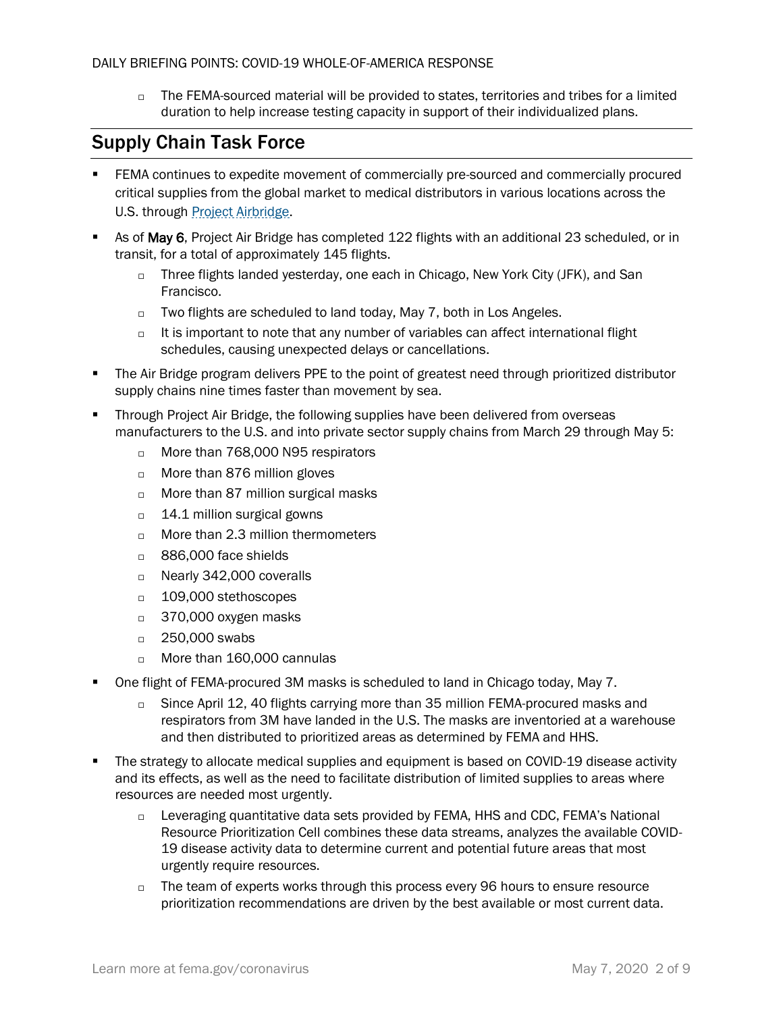$\Box$  The FEMA-sourced material will be provided to states, territories and tribes for a limited duration to help increase testing capacity in support of their individualized plans.

## Supply Chain Task Force

- FEMA continues to expedite movement of commercially pre-sourced and commercially procured critical supplies from the global market to medical distributors in various locations across the U.S. through [Project Airbridge.](https://www.fema.gov/news-release/2020/04/08/fema-covid-19-supply-chain-task-force-supply-chain-stabilization)
- As of May 6, Project Air Bridge has completed 122 flights with an additional 23 scheduled, or in transit, for a total of approximately 145 flights.
	- □ Three flights landed yesterday, one each in Chicago, New York City (JFK), and San Francisco.
	- $\Box$  Two flights are scheduled to land today, May 7, both in Los Angeles.
	- $\Box$  It is important to note that any number of variables can affect international flight schedules, causing unexpected delays or cancellations.
- **•** The Air Bridge program delivers PPE to the point of greatest need through prioritized distributor supply chains nine times faster than movement by sea.
- Through Project Air Bridge, the following supplies have been delivered from overseas manufacturers to the U.S. and into private sector supply chains from March 29 through May 5:
	- □ More than 768,000 N95 respirators
	- □ More than 876 million gloves
	- □ More than 87 million surgical masks
	- $\Box$  14.1 million surgical gowns
	- $\Box$  More than 2.3 million thermometers
	- □ 886,000 face shields
	- □ Nearly 342,000 coveralls
	- □ 109,000 stethoscopes
	- $\Box$  370,000 oxygen masks
	- □ 250,000 swabs
	- □ More than 160,000 cannulas
- One flight of FEMA-procured 3M masks is scheduled to land in Chicago today, May 7.
	- □ Since April 12, 40 flights carrying more than 35 million FEMA-procured masks and respirators from 3M have landed in the U.S. The masks are inventoried at a warehouse and then distributed to prioritized areas as determined by FEMA and HHS.
- The strategy to allocate medical supplies and equipment is based on COVID-19 disease activity and its effects, as well as the need to facilitate distribution of limited supplies to areas where resources are needed most urgently.
	- □ Leveraging quantitative data sets provided by FEMA, HHS and CDC, FEMA's National Resource Prioritization Cell combines these data streams, analyzes the available COVID-19 disease activity data to determine current and potential future areas that most urgently require resources.
	- $\Box$  The team of experts works through this process every 96 hours to ensure resource prioritization recommendations are driven by the best available or most current data.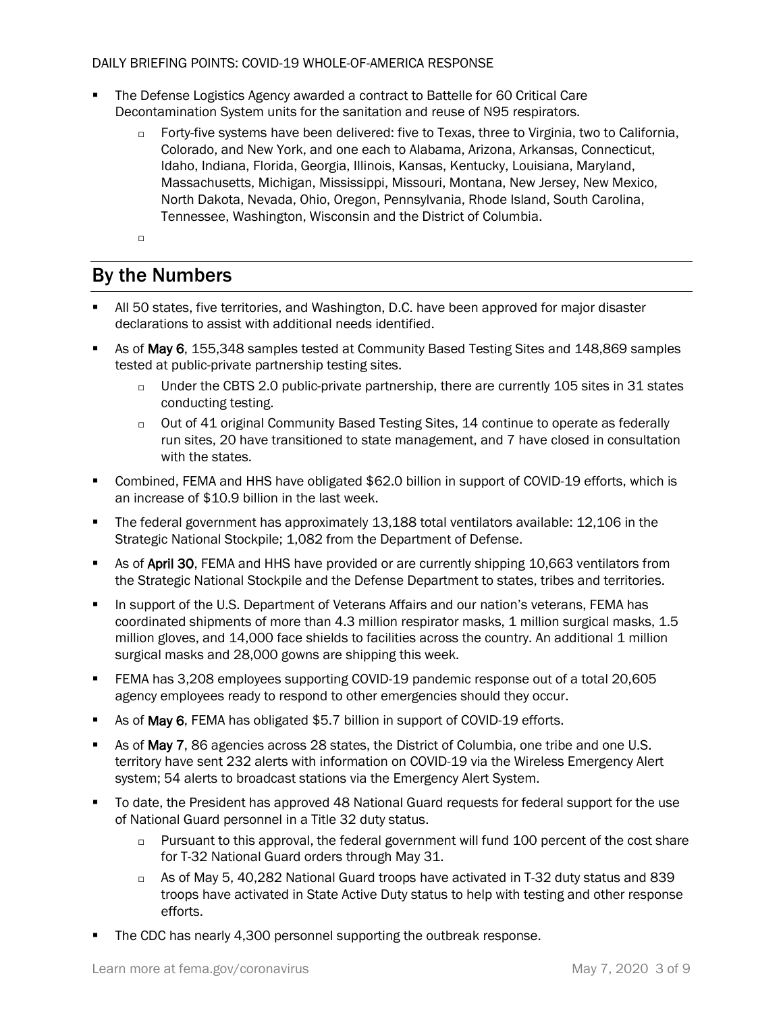- The Defense Logistics Agency awarded a contract to Battelle for 60 Critical Care Decontamination System units for the sanitation and reuse of N95 respirators.
	- □ Forty-five systems have been delivered: five to Texas, three to Virginia, two to California, Colorado, and New York, and one each to Alabama, Arizona, Arkansas, Connecticut, Idaho, Indiana, Florida, Georgia, Illinois, Kansas, Kentucky, Louisiana, Maryland, Massachusetts, Michigan, Mississippi, Missouri, Montana, New Jersey, New Mexico, North Dakota, Nevada, Ohio, Oregon, Pennsylvania, Rhode Island, South Carolina, Tennessee, Washington, Wisconsin and the District of Columbia.
	- $\Box$

# By the Numbers

- All 50 states, five territories, and Washington, D.C. have been approved for major disaster declarations to assist with additional needs identified.
- As of May 6, 155,348 samples tested at Community Based Testing Sites and 148,869 samples tested at public-private partnership testing sites.
	- $\Box$  Under the CBTS 2.0 public-private partnership, there are currently 105 sites in 31 states conducting testing.
	- $\Box$  Out of 41 original Community Based Testing Sites, 14 continue to operate as federally run sites, 20 have transitioned to state management, and 7 have closed in consultation with the states.
- Combined, FEMA and HHS have obligated \$62.0 billion in support of COVID-19 efforts, which is an increase of \$10.9 billion in the last week.
- The federal government has approximately 13,188 total ventilators available: 12,106 in the Strategic National Stockpile; 1,082 from the Department of Defense.
- **EXECT AS OF April 30, FEMA and HHS have provided or are currently shipping 10,663 ventilators from** the Strategic National Stockpile and the Defense Department to states, tribes and territories.
- In support of the U.S. Department of Veterans Affairs and our nation's veterans, FEMA has coordinated shipments of more than 4.3 million respirator masks, 1 million surgical masks, 1.5 million gloves, and 14,000 face shields to facilities across the country. An additional 1 million surgical masks and 28,000 gowns are shipping this week.
- FEMA has 3,208 employees supporting COVID-19 pandemic response out of a total 20,605 agency employees ready to respond to other emergencies should they occur.
- As of May 6, FEMA has obligated \$5.7 billion in support of COVID-19 efforts.
- As of May 7, 86 agencies across 28 states, the District of Columbia, one tribe and one U.S. territory have sent 232 alerts with information on COVID-19 via the Wireless Emergency Alert system; 54 alerts to broadcast stations via the Emergency Alert System.
- To date, the President has approved 48 National Guard requests for federal support for the use of National Guard personnel in a Title 32 duty status.
	- $\Box$  Pursuant to this approval, the federal government will fund 100 percent of the cost share for T-32 National Guard orders through May 31.
	- As of May 5, 40,282 National Guard troops have activated in T-32 duty status and 839 troops have activated in State Active Duty status to help with testing and other response efforts.
- The CDC has nearly 4,300 personnel supporting the outbreak response.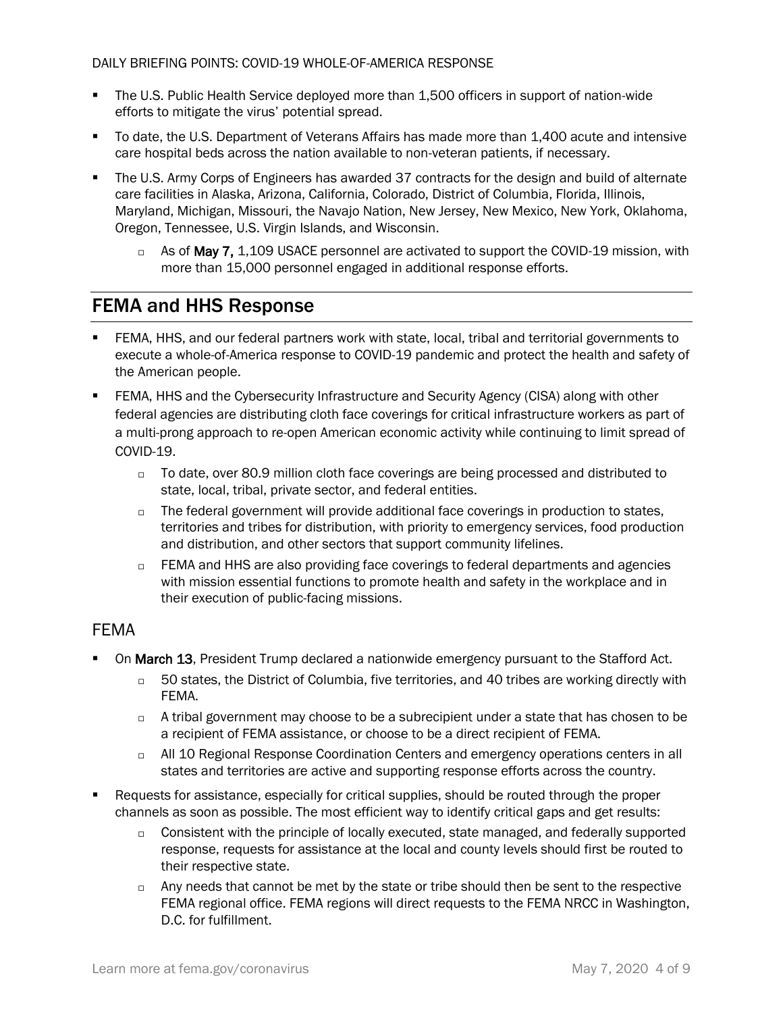- The U.S. Public Health Service deployed more than 1,500 officers in support of nation-wide efforts to mitigate the virus' potential spread.
- To date, the U.S. Department of Veterans Affairs has made more than 1,400 acute and intensive care hospital beds across the nation available to non-veteran patients, if necessary.
- The U.S. Army Corps of Engineers has awarded 37 contracts for the design and build of alternate care facilities in Alaska, Arizona, California, Colorado, District of Columbia, Florida, Illinois, Maryland, Michigan, Missouri, the Navajo Nation, New Jersey, New Mexico, New York, Oklahoma, Oregon, Tennessee, U.S. Virgin Islands, and Wisconsin.
	- $\Box$  As of May 7, 1,109 USACE personnel are activated to support the COVID-19 mission, with more than 15,000 personnel engaged in additional response efforts.

## FEMA and HHS Response

- FEMA, HHS, and our federal partners work with state, local, tribal and territorial governments to execute a whole-of-America response to COVID-19 pandemic and protect the health and safety of the American people.
- **FEMA, HHS and the Cybersecurity Infrastructure and Security Agency (CISA) along with other** federal agencies are distributing cloth face coverings for critical infrastructure workers as part of a multi-prong approach to re-open American economic activity while continuing to limit spread of COVID-19.
	- $\Box$  To date, over 80.9 million cloth face coverings are being processed and distributed to state, local, tribal, private sector, and federal entities.
	- $\Box$  The federal government will provide additional face coverings in production to states, territories and tribes for distribution, with priority to emergency services, food production and distribution, and other sectors that support community lifelines.
	- $\Box$  FEMA and HHS are also providing face coverings to federal departments and agencies with mission essential functions to promote health and safety in the workplace and in their execution of public-facing missions.

## FEMA

- On March 13, President Trump declared a nationwide emergency pursuant to the Stafford Act.
	- $\Box$  50 states, the District of Columbia, five territories, and 40 tribes are working directly with FEMA.
	- $\Box$  A tribal government may choose to be a subrecipient under a state that has chosen to be a recipient of FEMA assistance, or choose to be a direct recipient of FEMA.
	- $\Box$  All 10 Regional Response Coordination Centers and emergency operations centers in all states and territories are active and supporting response efforts across the country.
- Requests for assistance, especially for critical supplies, should be routed through the proper channels as soon as possible. The most efficient way to identify critical gaps and get results:
	- $\Box$  Consistent with the principle of locally executed, state managed, and federally supported response, requests for assistance at the local and county levels should first be routed to their respective state.
	- $\Box$  Any needs that cannot be met by the state or tribe should then be sent to the respective FEMA regional office. FEMA regions will direct requests to the FEMA NRCC in Washington, D.C. for fulfillment.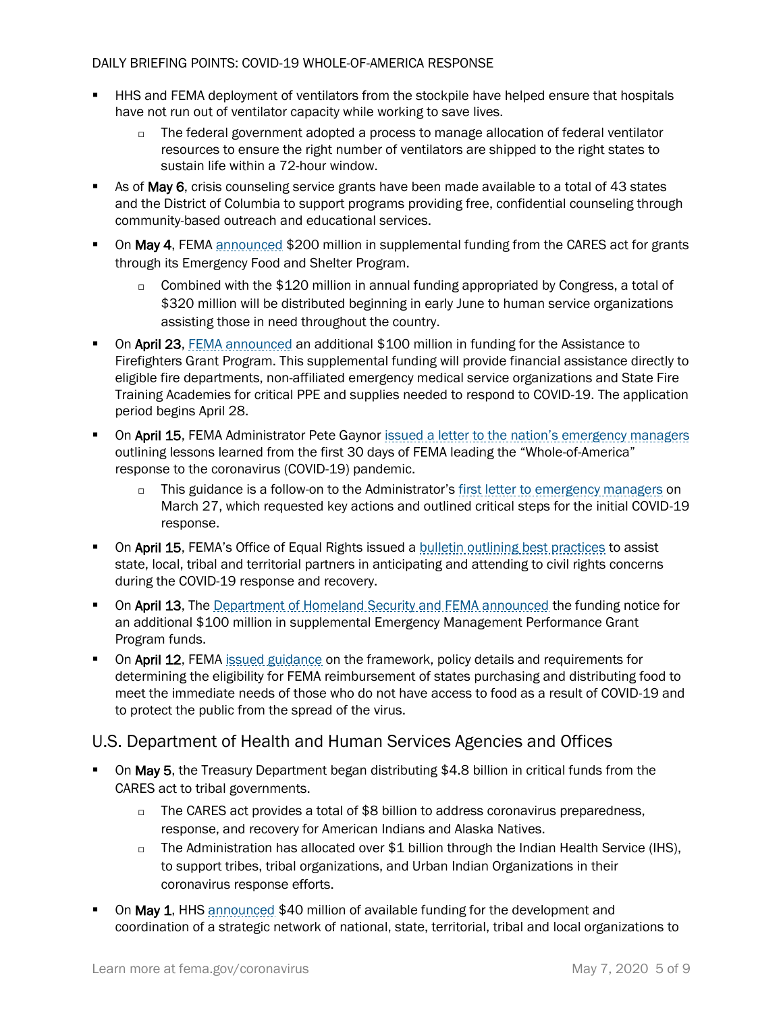- **E** HHS and FEMA deployment of ventilators from the stockpile have helped ensure that hospitals have not run out of ventilator capacity while working to save lives.
	- $\Box$  The federal government adopted a process to manage allocation of federal ventilator resources to ensure the right number of ventilators are shipped to the right states to sustain life within a 72-hour window.
- As of May 6, crisis counseling service grants have been made available to a total of 43 states and the District of Columbia to support programs providing free, confidential counseling through community-based outreach and educational services.
- On May 4, FEMA [announced](https://www.fema.gov/news-release/2020/05/04/fema-announces-supplemental-funding-through-cares-act) \$200 million in supplemental funding from the CARES act for grants through its Emergency Food and Shelter Program.
	- $\Box$  Combined with the \$120 million in annual funding appropriated by Congress, a total of \$320 million will be distributed beginning in early June to human service organizations assisting those in need throughout the country.
- On April 23, [FEMA announced](https://www.fema.gov/media-library/assets/documents/187460) an additional \$100 million in funding for the Assistance to Firefighters Grant Program. This supplemental funding will provide financial assistance directly to eligible fire departments, non-affiliated emergency medical service organizations and State Fire Training Academies for critical PPE and supplies needed to respond to COVID-19. The application period begins April 28.
- **On April 15, FEMA Administrator Pete Gaynor [issued a letter to the nation's emergency managers](https://www.fema.gov/news-release/2020/04/15/fema-administrator-april-15-2020-letter-emergency-managers)** outlining lessons learned from the first 30 days of FEMA leading the "Whole-of-America" response to the coronavirus (COVID-19) pandemic.
	- $\Box$  This guidance is a follow-on to the Administrator's first letter to [emergency managers](https://www.fema.gov/news-release/2020/03/27/fema-administrator-march-27-2020-letter-emergency-managers-requesting-action) on March 27, which requested key actions and outlined critical steps for the initial COVID-19 response.
- **On April 15, FEMA's Office of Equal Rights issued a [bulletin outlining best practices](https://www.fema.gov/media-library-data/1586893628400-f21a380f3db223e6075eeb3be67d50a6/EnsuringCivilRightsDuringtheCOVID19Response.pdf) to assist** state, local, tribal and territorial partners in anticipating and attending to civil rights concerns during the COVID-19 response and recovery.
- **On April 13, The [Department of Homeland Security and FEMA announced](https://www.fema.gov/news-release/2020/04/14/fema-announces-funding-notice-emergency-management-performance-grant) the funding notice for** an additional \$100 million in supplemental Emergency Management Performance Grant Program funds.
- **On April 12, FEMA** [issued guidance](https://www.fema.gov/news-release/2020/04/12/coronavirus-covid-19-pandemic-purchase-and-distribution-food-eligible-public) on the framework, policy details and requirements for determining the eligibility for FEMA reimbursement of states purchasing and distributing food to meet the immediate needs of those who do not have access to food as a result of COVID-19 and to protect the public from the spread of the virus.

## U.S. Department of Health and Human Services Agencies and Offices

- **On May 5, the Treasury Department began distributing \$4.8 billion in critical funds from the** CARES act to tribal governments.
	- $\Box$  The CARES act provides a total of \$8 billion to address coronavirus preparedness, response, and recovery for American Indians and Alaska Natives.
	- $\Box$  The Administration has allocated over \$1 billion through the Indian Health Service (IHS), to support tribes, tribal organizations, and Urban Indian Organizations in their coronavirus response efforts.
- On May 1, HHS [announced](https://www.hhs.gov/about/news/2020/05/01/covid-19-funding-available-to-minority-rural-and-socially-vulnerable-communities-for-linkages-to-services-information-and-education.html) \$40 million of available funding for the development and coordination of a strategic network of national, state, territorial, tribal and local organizations to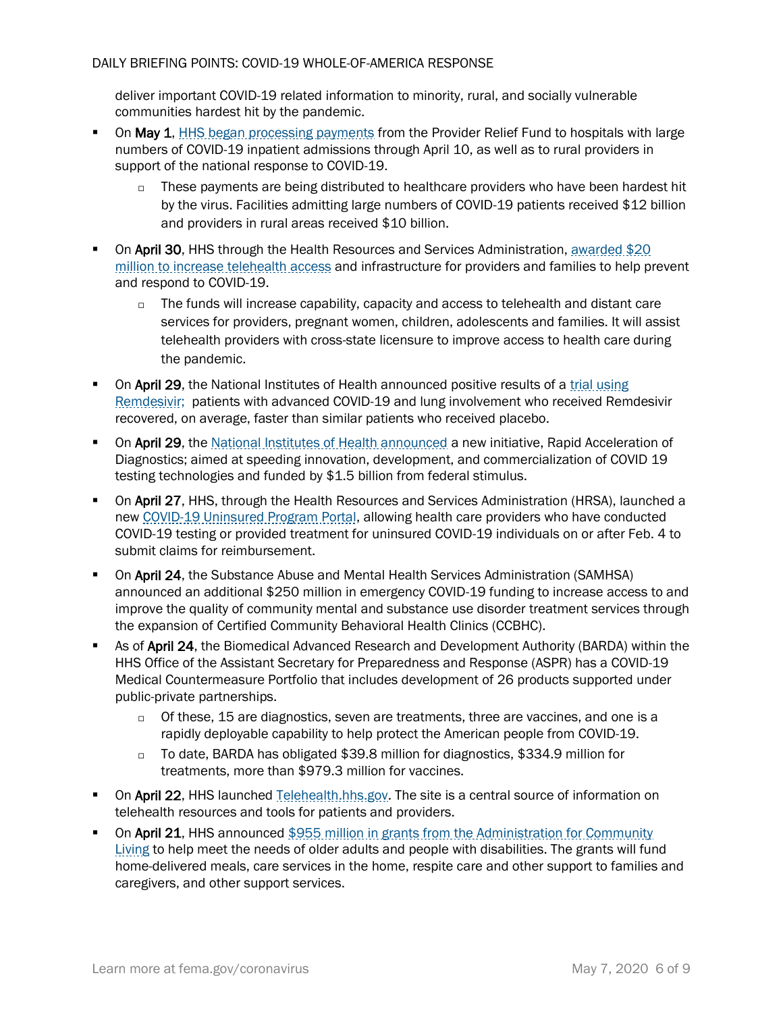deliver important COVID-19 related information to minority, rural, and socially vulnerable communities hardest hit by the pandemic.

- On May 1[, HHS began processing payments](https://www.hhs.gov/about/news/2020/05/01/hhs-begins-distribution-of-payments-to-hospitals-with-high-covid-19-admissions-rural-providers.html) from the Provider Relief Fund to hospitals with large numbers of COVID-19 inpatient admissions through April 10, as well as to rural providers in support of the national response to COVID-19.
	- $\Box$  These payments are being distributed to healthcare providers who have been hardest hit by the virus. Facilities admitting large numbers of COVID-19 patients received \$12 billion and providers in rural areas received \$10 billion.
- **On April 30, HHS through the Health Resources and Services Administration, awarded \$20** [million to increase telehealth access](https://www.hhs.gov/about/news/2020/04/30/hhs-awards-20-million-to-combat-covid19-pandemic-through-telehealth.html) and infrastructure for providers and families to help prevent and respond to COVID-19.
	- $\Box$  The funds will increase capability, capacity and access to telehealth and distant care services for providers, pregnant women, children, adolescents and families. It will assist telehealth providers with cross-state licensure to improve access to health care during the pandemic.
- **On April 29, the National Institutes of Health announced positive results of a trial using** [Remdesivir;](https://www.hhs.gov/about/news/2020/04/29/secretary-azar-statement-on-positive-results-from-nih-remdesivir-trial.html) patients with advanced COVID-19 and lung involvement who received Remdesivir recovered, on average, faster than similar patients who received placebo.
- **On April 29, the [National Institutes of Health announced](https://www.nih.gov/news-events/news-releases/nih-mobilizes-national-innovation-initiative-covid-19-diagnostics) a new initiative, Rapid Acceleration of** Diagnostics; aimed at speeding innovation, development, and commercialization of COVID 19 testing technologies and funded by \$1.5 billion from federal stimulus.
- **On April 27, HHS, through the Health Resources and Services Administration (HRSA), launched a** ne[w COVID-19 Uninsured Program Portal,](https://www.hrsa.gov/coviduninsuredclaim) allowing health care providers who have conducted COVID-19 testing or provided treatment for uninsured COVID-19 individuals on or after Feb. 4 to submit claims for reimbursement.
- **On April 24, the Substance Abuse and Mental Health Services Administration (SAMHSA)** announced an additional \$250 million in emergency COVID-19 funding to increase access to and improve the quality of community mental and substance use disorder treatment services through the expansion of Certified Community Behavioral Health Clinics (CCBHC).
- As of April 24, the Biomedical Advanced Research and Development Authority (BARDA) within the HHS Office of the Assistant Secretary for Preparedness and Response (ASPR) has a COVID-19 Medical Countermeasure Portfolio that includes development of 26 products supported under public-private partnerships.
	- of these, 15 are diagnostics, seven are treatments, three are vaccines, and one is a rapidly deployable capability to help protect the American people from COVID-19.
	- To date, BARDA has obligated \$39.8 million for diagnostics, \$334.9 million for treatments, more than \$979.3 million for vaccines.
- **On April 22, HHS** launched [Telehealth.hhs.gov.](https://telehealth.hhs.gov/) The site is a central source of information on telehealth resources and tools for patients and providers.
- **On April 21, HHS announced \$955 million in grants from the Administration for Community** [Living](https://www.hhs.gov/about/news/2020/04/21/hhs-announces-nearly-1-billion-cares-act-grants-support-older-adults-people-with-disabilities-community-during-covid-19-emergency.html) to help meet the needs of older adults and people with disabilities. The grants will fund home-delivered meals, care services in the home, respite care and other support to families and caregivers, and other support services.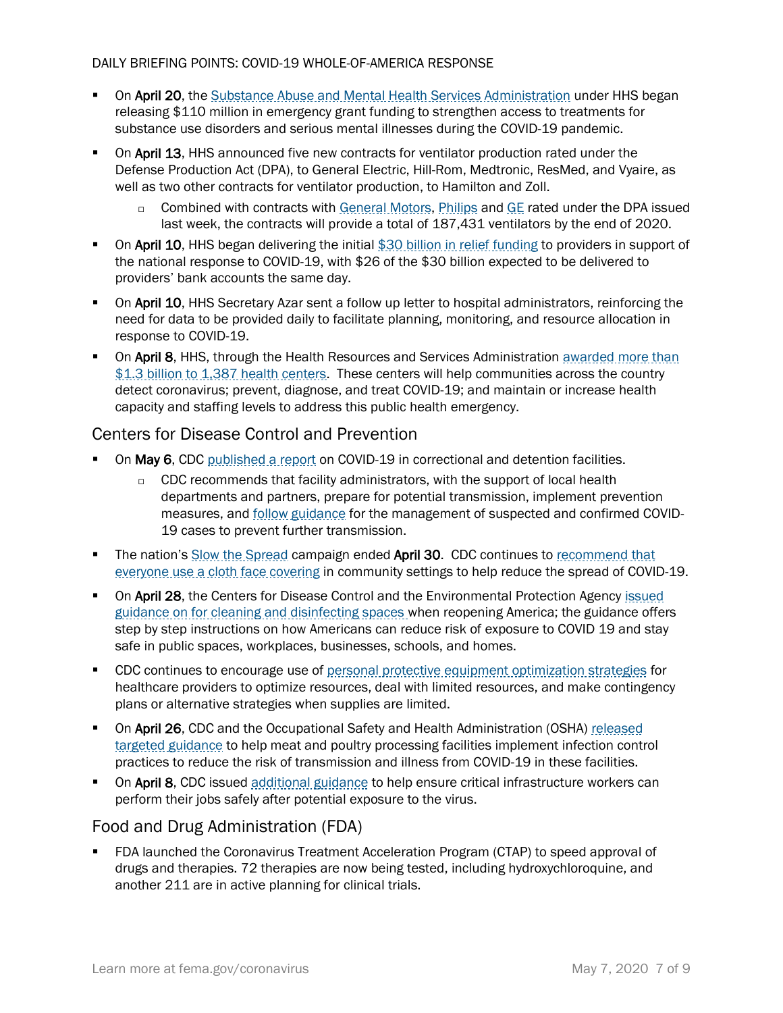- On April 20, the [Substance Abuse and Mental Health Services Administration](https://www.samhsa.gov/) under HHS began releasing \$110 million in emergency grant funding to strengthen access to treatments for substance use disorders and serious mental illnesses during the COVID-19 pandemic.
- **On April 13, HHS announced five new contracts for ventilator production rated under the** Defense Production Act (DPA), to General Electric, Hill-Rom, Medtronic, ResMed, and Vyaire, as well as two other contracts for ventilator production, to Hamilton and Zoll.
	- □ Combined with contracts with [General Motors,](https://www.hhs.gov/about/news/2020/04/08/hhs-announces-ventilator-contract-with-gm-under-defense-production-act.html) [Philips](https://www.hhs.gov/about/news/2020/04/08/hhs-announces-ventilator-contract-with-philips-under-defense-production-act.html) an[d GE](https://www.hhs.gov/about/news/2020/04/16/hhs-announces-ventilator-contract-with-ge-under-defense-production-act.html?utm_source=TWITTER&utm_medium=TWITTER&utm_content=100001226459954&utm_campaign=Press+Releases+and+Policy+Announcements&linkId=100000011823064) rated under the DPA issued last week, the contracts will provide a total of 187,431 ventilators by the end of 2020.
- **On April 10, HHS began delivering the initial [\\$30 billion in relief funding](https://www.hhs.gov/about/news/2020/04/10/hhs-to-begin-immediate-delivery-of-initial-30-billion-of-cares-act-provider-relief-funding.html) to providers in support of** the national response to COVID-19, with \$26 of the \$30 billion expected to be delivered to providers' bank accounts the same day.
- On April 10, HHS Secretary Azar sent a follow up letter to hospital administrators, reinforcing the need for data to be provided daily to facilitate planning, monitoring, and resource allocation in response to COVID-19.
- **On April 8, HHS, through the Health Resources and Services Administration awarded more than** [\\$1.3 billion to 1,387 health centers.](https://www.hhs.gov/about/news/2020/04/08/hhs-awards-billion-to-health-centers-in-historic-covid19-response.html) These centers will help communities across the country detect coronavirus; prevent, diagnose, and treat COVID-19; and maintain or increase health capacity and staffing levels to address this public health emergency.

## Centers for Disease Control and Prevention

- On May 6, CDC [published a report](https://www.cdc.gov/mmwr/volumes/69/wr/mm6919e1.htm?s_cid=mm6919e1_w) on COVID-19 in correctional and detention facilities.
	- $\Box$  CDC recommends that facility administrators, with the support of local health departments and partners, prepare for potential transmission, implement prevention measures, and **follow guidance** for the management of suspected and confirmed COVID-19 cases to prevent further transmission.
- **The nation's [Slow the Spread](https://www.coronavirus.gov/) campaign ended April 30. CDC continues to recommend that** [everyone use a cloth face covering](https://www.cdc.gov/coronavirus/2019-ncov/prevent-getting-sick/cloth-face-cover.html) in community settings to help reduce the spread of COVID-19.
- **On April 28, the Centers for Disease Control and the Environmental Protection Agency issued** [guidance on for cleaning and disinfecting spaces](https://www.cdc.gov/coronavirus/2019-ncov/community/reopen-guidance.html) when reopening America; the guidance offers step by step instructions on how Americans can reduce risk of exposure to COVID 19 and stay safe in public spaces, workplaces, businesses, schools, and homes.
- **CDC continues to encourage use of [personal protective equipment optimization strategies](https://www.cdc.gov/coronavirus/2019-ncov/hcp/ppe-strategy/index.html) for** healthcare providers to optimize resources, deal with limited resources, and make contingency plans or alternative strategies when supplies are limited.
- **On April 26, CDC and the Occupational Safety and Health Administration (OSHA) released** [targeted guidance](https://www.cdc.gov/coronavirus/2019-ncov/community/organizations/meat-poultry-processing-workers-employers.html) to help meat and poultry processing facilities implement infection control practices to reduce the risk of transmission and illness from COVID-19 in these facilities.
- **On April 8, CDC** issued [additional guidance](https://www.cdc.gov/coronavirus/2019-ncov/community/critical-workers/implementing-safety-practices.html) to help ensure critical infrastructure workers can perform their jobs safely after potential exposure to the virus.

## Food and Drug Administration (FDA)

▪ FDA launched the Coronavirus Treatment Acceleration Program (CTAP) to speed approval of drugs and therapies. 72 therapies are now being tested, including hydroxychloroquine, and another 211 are in active planning for clinical trials.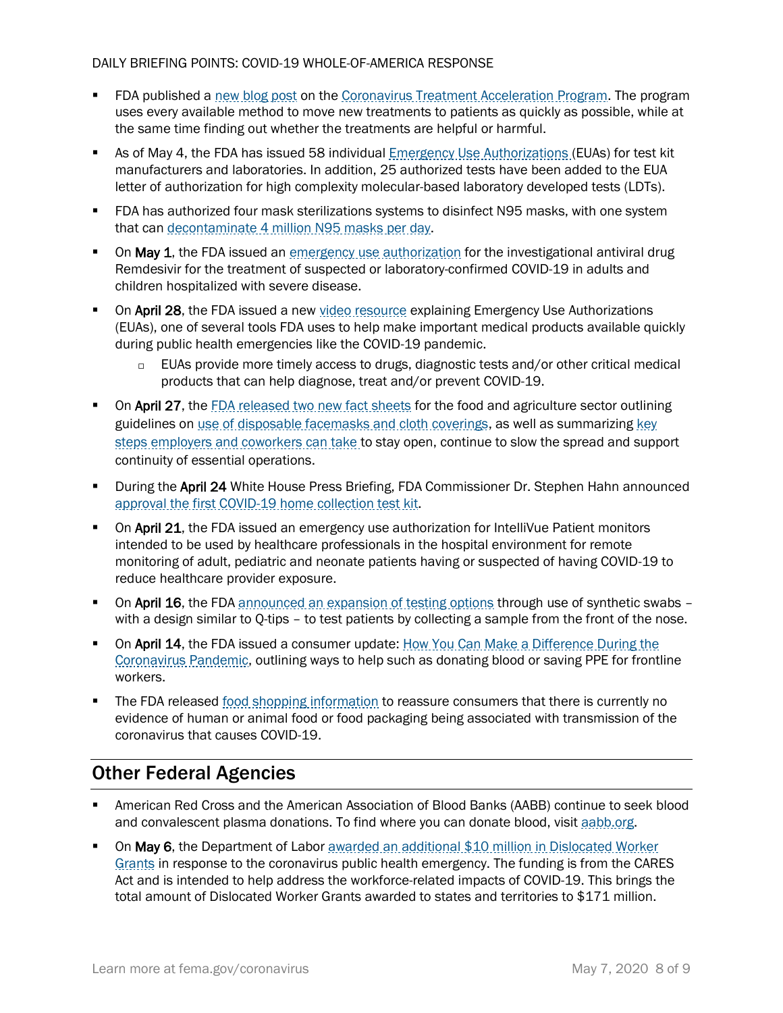- **FDA published a [new blog post](https://www.fda.gov/news-events/fda-voices-perspectives-fda-leadership-and-experts/path-forward-coronavirus-treatment-acceleration-program) on the [Coronavirus Treatment Acceleration Program.](https://www.fda.gov/drugs/coronavirus-covid-19-drugs/coronavirus-treatment-acceleration-program-ctap) The program** uses every available method to move new treatments to patients as quickly as possible, while at the same time finding out whether the treatments are helpful or harmful.
- As of May 4, the FDA has issued 58 individual **[Emergency Use Authorizations](https://www.fda.gov/medical-devices/emergency-situations-medical-devices/emergency-use-authorizations) (EUAs)** for test kit manufacturers and laboratories. In addition, 25 authorized tests have been added to the EUA letter of authorization for high complexity molecular-based laboratory developed tests (LDTs).
- FDA has authorized four mask sterilizations systems to disinfect N95 masks, with one system that can [decontaminate 4 million N95 masks per day.](https://www.fda.gov/news-events/press-announcements/coronavirus-covid-19-update-fda-issues-emergency-use-authorization-decontaminate-millions-n95)
- On May 1, the FDA issued an [emergency use authorization](https://www.fda.gov/media/137564/download) for the investigational antiviral drug Remdesivir for the treatment of suspected or laboratory-confirmed COVID-19 in adults and children hospitalized with severe disease.
- **On April 28, the FDA issued a new [video resource](https://youtu.be/iGkwaESsGBQ) explaining Emergency Use Authorizations** (EUAs), one of several tools FDA uses to help make important medical products available quickly during public health emergencies like the COVID-19 pandemic.
	- EUAs provide more timely access to drugs, diagnostic tests and/or other critical medical products that can help diagnose, treat and/or prevent COVID-19.
- On April 27, the [FDA released two new fact sheets](https://www.fda.gov/news-events/press-announcements/coronavirus-covid-19-update-daily-roundup-april-27-2020) for the food and agriculture sector outlining guidelines on [use of disposable facemasks and cloth coverings,](https://www.fda.gov/food/food-safety-during-emergencies/use-respirators-facemasks-and-cloth-face-coverings-food-and-agriculture-sector-during-coronavirus) as well as summarizing key [steps employers and coworkers can take](https://www.fda.gov/food/food-safety-during-emergencies/what-do-if-you-have-covid-19-confirmed-positive-or-exposed-workers-your-food-production-storage-or) to stay open, continue to slow the spread and support continuity of essential operations.
- **During the April 24 White House Press Briefing, FDA Commissioner Dr. Stephen Hahn announced** [approval the first COVID-19 home collection test kit.](https://www.fda.gov/news-events/press-announcements/coronavirus-covid-19-update-fda-authorizes-first-test-patient-home-sample-collection)
- On April 21, the FDA issued an emergency use authorization for IntelliVue Patient monitors intended to be used by healthcare professionals in the hospital environment for remote monitoring of adult, pediatric and neonate patients having or suspected of having COVID-19 to reduce healthcare provider exposure.
- **On April 16,** the FDA [announced an expansion of testing options](https://www.fda.gov/news-events/press-announcements/coronavirus-covid-19-update-fda-gates-foundation-unitedhealth-group-quantigen-and-us-cotton) through use of synthetic swabs with a design similar to Q-tips - to test patients by collecting a sample from the front of the nose.
- **On April 14, the FDA issued a consumer update: How You Can Make a Difference During the** [Coronavirus Pandemic,](https://www.fda.gov/consumers/consumer-updates/how-you-can-make-difference-during-coronavirus-pandemic) outlining ways to help such as donating blood or saving PPE for frontline workers.
- The FDA released [food shopping information](https://www.fda.gov/food/food-safety-during-emergencies/shopping-food-during-covid-19-pandemic-information-consumers) to reassure consumers that there is currently no evidence of human or animal food or food packaging being associated with transmission of the coronavirus that causes COVID-19.

# Other Federal Agencies

- American Red Cross and the American Association of Blood Banks (AABB) continue to seek blood and convalescent plasma donations. To find where you can donate blood, visi[t aabb.org.](http://www.aabb.org/tm/donation/Pages/Blood-Bank-Locator.aspx)
- On May 6, the Department of Labor awarded an additional \$10 million in Dislocated Worker [Grants](https://www.dol.gov/newsroom/releases/eta/eta20200506-0) in response to the coronavirus public health emergency. The funding is from the CARES Act and is intended to help address the workforce-related impacts of COVID-19. This brings the total amount of Dislocated Worker Grants awarded to states and territories to \$171 million.